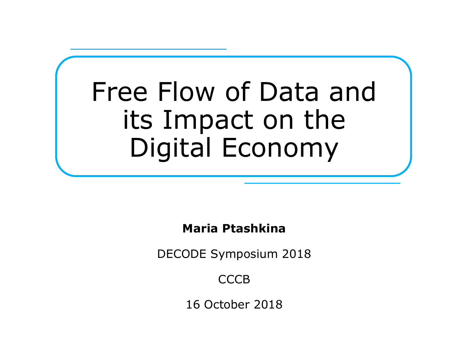# Free Flow of Data and its Impact on the Digital Economy

## **Maria Ptashkina**

DECODE Symposium 2018

**CCCB** 

16 October 2018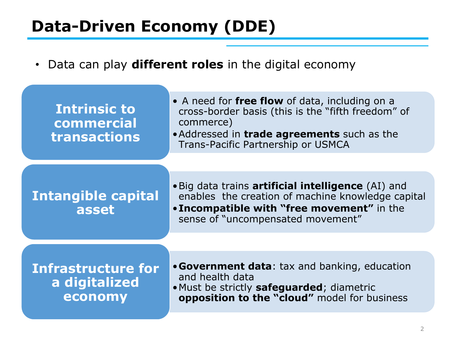# **Data-Driven Economy (DDE)**

• Data can play **different roles** in the digital economy

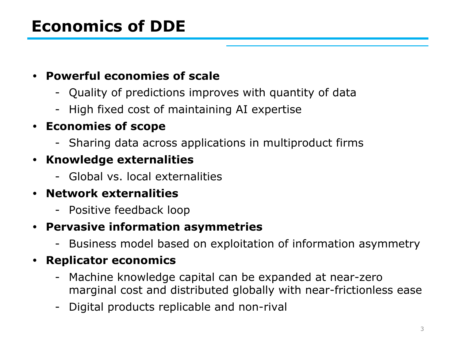# **Economics of DDE**

### **• Powerful economies of scale**

- Quality of predictions improves with quantity of data
- High fixed cost of maintaining AI expertise

### **• Economies of scope**

- Sharing data across applications in multiproduct firms

## **• Knowledge externalities**

- Global vs. local externalities

## **• Network externalities**

- Positive feedback loop

#### **• Pervasive information asymmetries**

- Business model based on exploitation of information asymmetry

## **• Replicator economics**

- Machine knowledge capital can be expanded at near-zero marginal cost and distributed globally with near-frictionless ease
- Digital products replicable and non-rival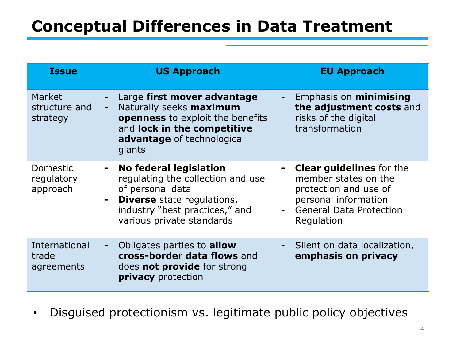# **Conceptual Differences in Data Treatment**

| <b>Issue</b>                         | <b>US Approach</b>                                                                                                                                                                                              | <b>EU Approach</b>                                                                                                                                  |
|--------------------------------------|-----------------------------------------------------------------------------------------------------------------------------------------------------------------------------------------------------------------|-----------------------------------------------------------------------------------------------------------------------------------------------------|
| Market<br>structure and<br>strategy  | Large first mover advantage<br>Naturally seeks maximum<br>$\overline{\phantom{a}}$<br>openness to exploit the benefits<br>and lock in the competitive<br><b>advantage</b> of technological<br>giants            | Emphasis on <b>minimising</b><br>the adjustment costs and<br>risks of the digital<br>transformation                                                 |
| Domestic<br>regulatory<br>approach   | No federal legislation<br>$\sim$<br>regulating the collection and use<br>of personal data<br><b>Diverse</b> state regulations,<br>$\blacksquare$<br>industry "best practices," and<br>various private standards | <b>Clear guidelines</b> for the<br>member states on the<br>protection and use of<br>personal information<br>- General Data Protection<br>Regulation |
| International<br>trade<br>agreements | Obligates parties to <b>allow</b><br>Η<br>cross-border data flows and<br>does <b>not provide</b> for strong<br><b>privacy</b> protection                                                                        | Silent on data localization,<br>emphasis on privacy                                                                                                 |

• Disguised protectionism vs. legitimate public policy objectives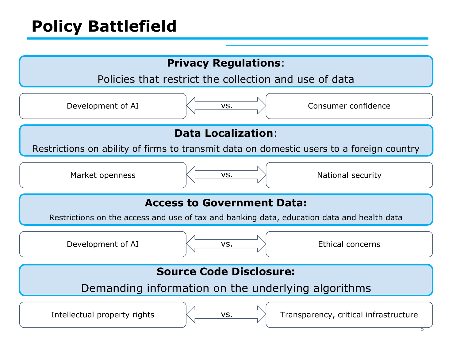